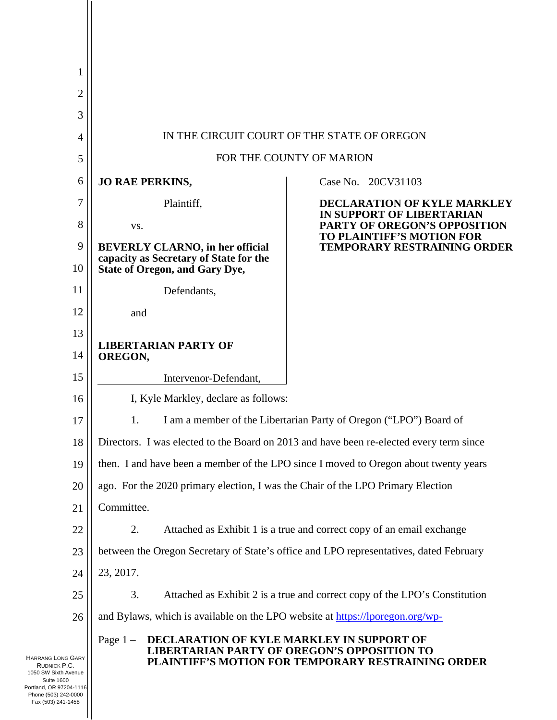| 1                                                                                                                                        |                                                                                                                                                                            |                                                                            |  |
|------------------------------------------------------------------------------------------------------------------------------------------|----------------------------------------------------------------------------------------------------------------------------------------------------------------------------|----------------------------------------------------------------------------|--|
| $\overline{2}$                                                                                                                           |                                                                                                                                                                            |                                                                            |  |
| 3                                                                                                                                        |                                                                                                                                                                            |                                                                            |  |
| $\overline{4}$                                                                                                                           | IN THE CIRCUIT COURT OF THE STATE OF OREGON                                                                                                                                |                                                                            |  |
| 5                                                                                                                                        | FOR THE COUNTY OF MARION                                                                                                                                                   |                                                                            |  |
| 6                                                                                                                                        | <b>JO RAE PERKINS,</b>                                                                                                                                                     | Case No. 20CV31103                                                         |  |
| 7                                                                                                                                        | Plaintiff,                                                                                                                                                                 | <b>DECLARATION OF KYLE MARKLEY</b>                                         |  |
| 8                                                                                                                                        | VS.                                                                                                                                                                        | <b>IN SUPPORT OF LIBERTARIAN</b><br>PARTY OF OREGON'S OPPOSITION           |  |
| 9                                                                                                                                        | <b>BEVERLY CLARNO, in her official</b>                                                                                                                                     | <b>TO PLAINTIFF'S MOTION FOR</b><br><b>TEMPORARY RESTRAINING ORDER</b>     |  |
| 10                                                                                                                                       | capacity as Secretary of State for the<br><b>State of Oregon, and Gary Dye,</b>                                                                                            |                                                                            |  |
| 11                                                                                                                                       | Defendants,                                                                                                                                                                |                                                                            |  |
| 12                                                                                                                                       | and                                                                                                                                                                        |                                                                            |  |
| 13                                                                                                                                       |                                                                                                                                                                            |                                                                            |  |
| 14                                                                                                                                       | <b>LIBERTARIAN PARTY OF</b><br>OREGON,                                                                                                                                     |                                                                            |  |
| 15                                                                                                                                       | Intervenor-Defendant,                                                                                                                                                      |                                                                            |  |
| 16                                                                                                                                       | I, Kyle Markley, declare as follows:                                                                                                                                       |                                                                            |  |
| 17                                                                                                                                       | I am a member of the Libertarian Party of Oregon ("LPO") Board of<br>1.                                                                                                    |                                                                            |  |
| 18                                                                                                                                       | Directors. I was elected to the Board on 2013 and have been re-elected every term since                                                                                    |                                                                            |  |
| 19                                                                                                                                       | then. I and have been a member of the LPO since I moved to Oregon about twenty years                                                                                       |                                                                            |  |
| 20                                                                                                                                       | ago. For the 2020 primary election, I was the Chair of the LPO Primary Election                                                                                            |                                                                            |  |
| 21                                                                                                                                       | Committee.                                                                                                                                                                 |                                                                            |  |
| 22                                                                                                                                       | 2.                                                                                                                                                                         | Attached as Exhibit 1 is a true and correct copy of an email exchange      |  |
| 23                                                                                                                                       | between the Oregon Secretary of State's office and LPO representatives, dated February                                                                                     |                                                                            |  |
| 24                                                                                                                                       | 23, 2017.                                                                                                                                                                  |                                                                            |  |
| 25                                                                                                                                       | 3.                                                                                                                                                                         | Attached as Exhibit 2 is a true and correct copy of the LPO's Constitution |  |
| 26                                                                                                                                       | and Bylaws, which is available on the LPO website at https://lporegon.org/wp-                                                                                              |                                                                            |  |
| <b>HARRANG LONG GARY</b><br>RUDNICK P.C.<br>1050 SW Sixth Avenue<br><b>Suite 1600</b><br>Portland, OR 97204-1116<br>Phone (503) 242-0000 | DECLARATION OF KYLE MARKLEY IN SUPPORT OF<br>Page $1 -$<br><b>LIBERTARIAN PARTY OF OREGON'S OPPOSITION TO</b><br><b>PLAINTIFF'S MOTION FOR TEMPORARY RESTRAINING ORDER</b> |                                                                            |  |

Fax (503) 241-1458

 $\mathsf{I}$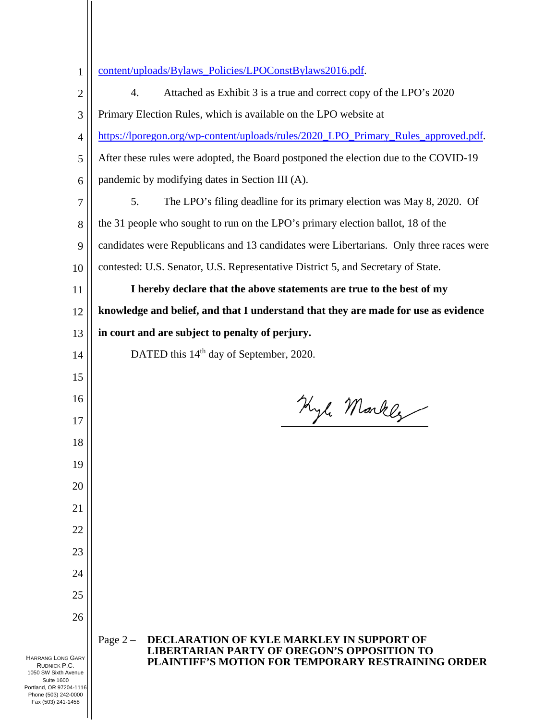| $\mathbf{1}$                                                                                                                             | content/uploads/Bylaws_Policies/LPOConstBylaws2016.pdf.                                                                                                            |  |
|------------------------------------------------------------------------------------------------------------------------------------------|--------------------------------------------------------------------------------------------------------------------------------------------------------------------|--|
| 2                                                                                                                                        | 4.<br>Attached as Exhibit 3 is a true and correct copy of the LPO's 2020                                                                                           |  |
| 3                                                                                                                                        | Primary Election Rules, which is available on the LPO website at                                                                                                   |  |
| 4                                                                                                                                        | https://lporegon.org/wp-content/uploads/rules/2020_LPO_Primary_Rules_approved.pdf.                                                                                 |  |
| 5                                                                                                                                        | After these rules were adopted, the Board postponed the election due to the COVID-19                                                                               |  |
| 6                                                                                                                                        | pandemic by modifying dates in Section III (A).                                                                                                                    |  |
| 7                                                                                                                                        | 5.<br>The LPO's filing deadline for its primary election was May 8, 2020. Of                                                                                       |  |
| 8                                                                                                                                        | the 31 people who sought to run on the LPO's primary election ballot, 18 of the                                                                                    |  |
| 9                                                                                                                                        | candidates were Republicans and 13 candidates were Libertarians. Only three races were                                                                             |  |
| 10                                                                                                                                       | contested: U.S. Senator, U.S. Representative District 5, and Secretary of State.                                                                                   |  |
| 11                                                                                                                                       | I hereby declare that the above statements are true to the best of my                                                                                              |  |
| 12                                                                                                                                       | knowledge and belief, and that I understand that they are made for use as evidence                                                                                 |  |
| 13                                                                                                                                       | in court and are subject to penalty of perjury.                                                                                                                    |  |
| 14                                                                                                                                       | DATED this 14 <sup>th</sup> day of September, 2020.                                                                                                                |  |
| 15                                                                                                                                       |                                                                                                                                                                    |  |
| 16                                                                                                                                       | Kyle Markez                                                                                                                                                        |  |
| 17                                                                                                                                       |                                                                                                                                                                    |  |
| 18                                                                                                                                       |                                                                                                                                                                    |  |
| 19                                                                                                                                       |                                                                                                                                                                    |  |
| 20                                                                                                                                       |                                                                                                                                                                    |  |
| 21                                                                                                                                       |                                                                                                                                                                    |  |
| 22                                                                                                                                       |                                                                                                                                                                    |  |
| 23                                                                                                                                       |                                                                                                                                                                    |  |
| 24                                                                                                                                       |                                                                                                                                                                    |  |
| 25                                                                                                                                       |                                                                                                                                                                    |  |
| 26                                                                                                                                       |                                                                                                                                                                    |  |
| <b>HARRANG LONG GARY</b><br>RUDNICK P.C.<br>1050 SW Sixth Avenue<br><b>Suite 1600</b><br>Portland, OR 97204-1116<br>Phone (503) 242-0000 | DECLARATION OF KYLE MARKLEY IN SUPPORT OF<br>Page $2-$<br><b>LIBERTARIAN PARTY OF OREGON'S OPPOSITION TO</b><br>PLAINTIFF'S MOTION FOR TEMPORARY RESTRAINING ORDER |  |

Fax (503) 241-1458

 $\overline{1}$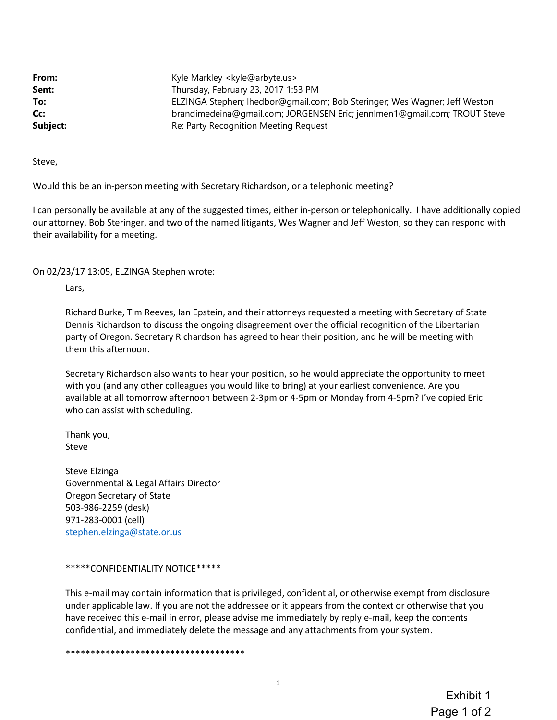| From:    | Kyle Markley < kyle@arbyte.us>                                             |  |
|----------|----------------------------------------------------------------------------|--|
| Sent:    | Thursday, February 23, 2017 1:53 PM                                        |  |
| To:      | ELZINGA Stephen; Ihedbor@gmail.com; Bob Steringer; Wes Wagner; Jeff Weston |  |
| Cc:      | brandimedeina@gmail.com; JORGENSEN Eric; jennlmen1@gmail.com; TROUT Steve  |  |
| Subject: | Re: Party Recognition Meeting Request                                      |  |

Steve,

Would this be an in-person meeting with Secretary Richardson, or a telephonic meeting?

I can personally be available at any of the suggested times, either in-person or telephonically. I have additionally copied our attorney, Bob Steringer, and two of the named litigants, Wes Wagner and Jeff Weston, so they can respond with their availability for a meeting.

On 02/23/17 13:05, ELZINGA Stephen wrote:

Lars,

Richard Burke, Tim Reeves, Ian Epstein, and their attorneys requested a meeting with Secretary of State Dennis Richardson to discuss the ongoing disagreement over the official recognition of the Libertarian party of Oregon. Secretary Richardson has agreed to hear their position, and he will be meeting with them this afternoon.

Secretary Richardson also wants to hear your position, so he would appreciate the opportunity to meet with you (and any other colleagues you would like to bring) at your earliest convenience. Are you available at all tomorrow afternoon between 2-3pm or 4-5pm or Monday from 4-5pm? I've copied Eric who can assist with scheduling.

Thank you, Steve

Steve Elzinga Governmental & Legal Affairs Director Oregon Secretary of State 503-986-2259 (desk) 971-283-0001 (cell) stephen.elzinga@state.or.us

#### \*\*\*\*\*CONFIDENTIALITY NOTICE\*\*\*\*\*

This e-mail may contain information that is privileged, confidential, or otherwise exempt from disclosure under applicable law. If you are not the addressee or it appears from the context or otherwise that you have received this e-mail in error, please advise me immediately by reply e-mail, keep the contents confidential, and immediately delete the message and any attachments from your system.

\*\*\*\*\*\*\*\*\*\*\*\*\*\*\*\*\*\*\*\*\*\*\*\*\*\*\*\*\*\*\*\*\*\*\*\*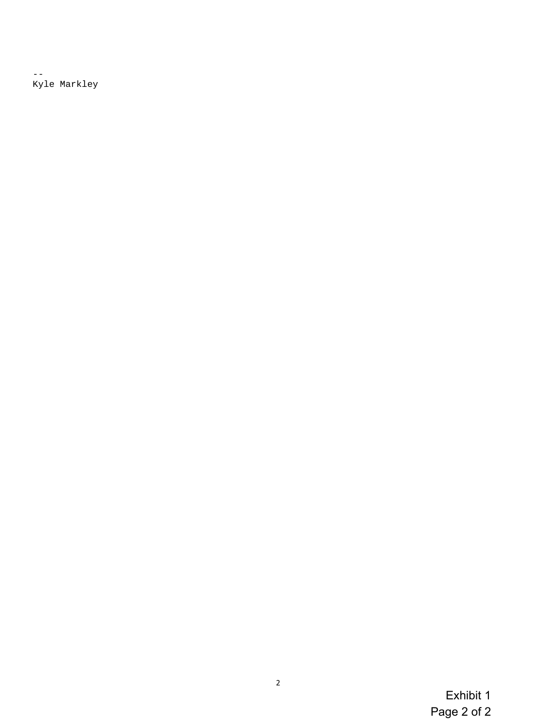$\perp$   $\perp$ Kyle Markley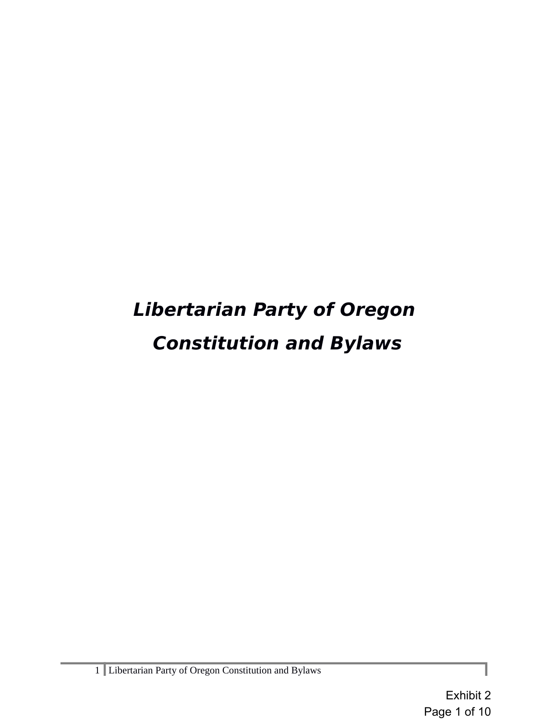# **Libertarian Party of Oregon Constitution and Bylaws**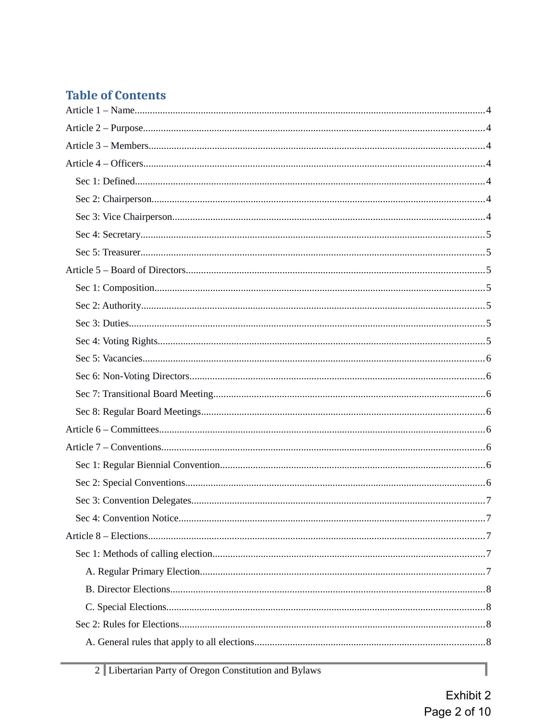# **Table of Contents**

1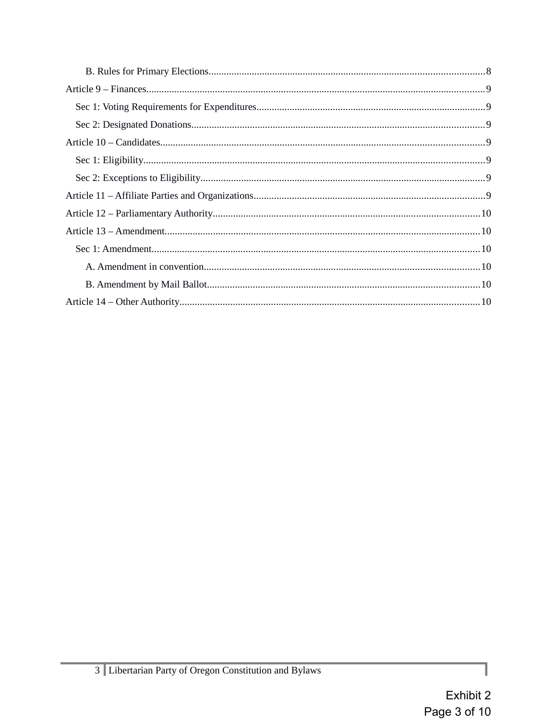Í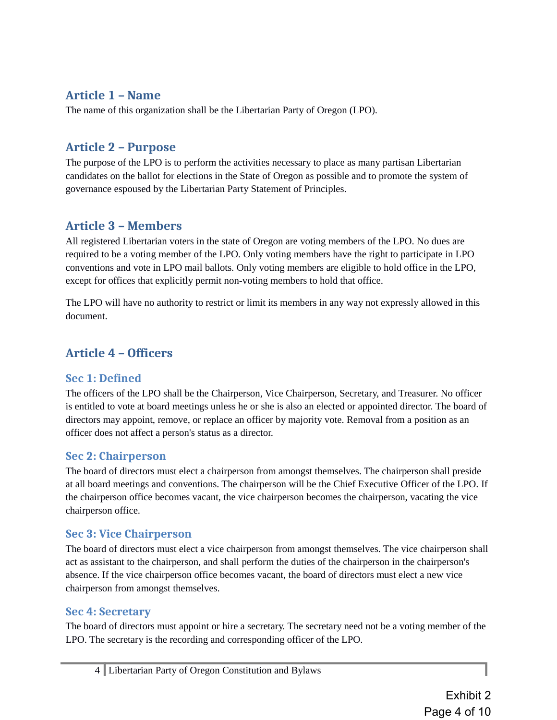## **Article 1 – Name**

The name of this organization shall be the Libertarian Party of Oregon (LPO).

# **Article 2 – Purpose**

The purpose of the LPO is to perform the activities necessary to place as many partisan Libertarian candidates on the ballot for elections in the State of Oregon as possible and to promote the system of governance espoused by the Libertarian Party Statement of Principles.

# **Article 3 – Members**

All registered Libertarian voters in the state of Oregon are voting members of the LPO. No dues are required to be a voting member of the LPO. Only voting members have the right to participate in LPO conventions and vote in LPO mail ballots. Only voting members are eligible to hold office in the LPO, except for offices that explicitly permit non-voting members to hold that office.

The LPO will have no authority to restrict or limit its members in any way not expressly allowed in this document.

# **Article 4 – Officers**

## **Sec 1: Defined**

The officers of the LPO shall be the Chairperson, Vice Chairperson, Secretary, and Treasurer. No officer is entitled to vote at board meetings unless he or she is also an elected or appointed director. The board of directors may appoint, remove, or replace an officer by majority vote. Removal from a position as an officer does not affect a person's status as a director.

## **Sec 2: Chairperson**

The board of directors must elect a chairperson from amongst themselves. The chairperson shall preside at all board meetings and conventions. The chairperson will be the Chief Executive Officer of the LPO. If the chairperson office becomes vacant, the vice chairperson becomes the chairperson, vacating the vice chairperson office.

## **Sec 3: Vice Chairperson**

The board of directors must elect a vice chairperson from amongst themselves. The vice chairperson shall act as assistant to the chairperson, and shall perform the duties of the chairperson in the chairperson's absence. If the vice chairperson office becomes vacant, the board of directors must elect a new vice chairperson from amongst themselves.

## **Sec 4: Secretary**

The board of directors must appoint or hire a secretary. The secretary need not be a voting member of the LPO. The secretary is the recording and corresponding officer of the LPO.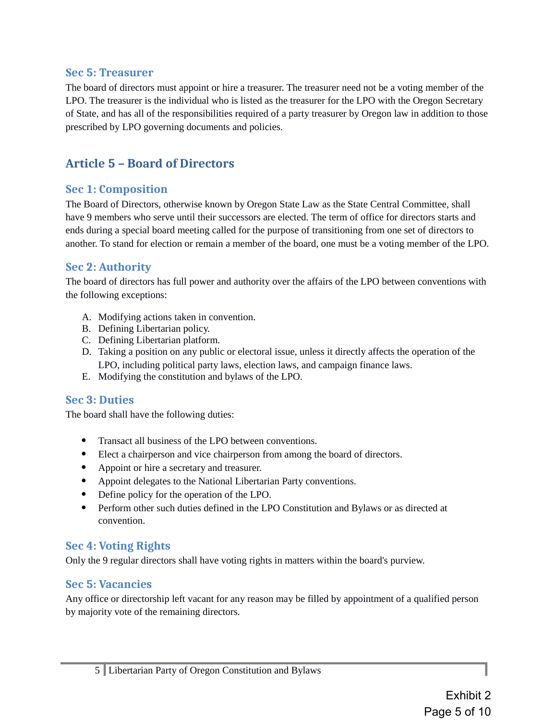#### **Sec 5: Treasurer**

The board of directors must appoint or hire a treasurer. The treasurer need not be a voting member of the LPO. The treasurer is the individual who is listed as the treasurer for the LPO with the Oregon Secretary of State, and has all of the responsibilities required of a party treasurer by Oregon law in addition to those prescribed by LPO governing documents and policies.

# **Article 5 – Board of Directors**

#### **Sec 1: Composition**

The Board of Directors, otherwise known by Oregon State Law as the State Central Committee, shall have 9 members who serve until their successors are elected. The term of office for directors starts and ends during a special board meeting called for the purpose of transitioning from one set of directors to another. To stand for election or remain a member of the board, one must be a voting member of the LPO.

#### **Sec 2: Authority**

The board of directors has full power and authority over the affairs of the LPO between conventions with the following exceptions:

- A. Modifying actions taken in convention.
- B. Defining Libertarian policy.
- C. Defining Libertarian platform.
- D. Taking a position on any public or electoral issue, unless it directly affects the operation of the LPO, including political party laws, election laws, and campaign finance laws.
- E. Modifying the constitution and bylaws of the LPO.

## **Sec 3: Duties**

The board shall have the following duties:

- Transact all business of the LPO between conventions.
- Elect a chairperson and vice chairperson from among the board of directors.
- Appoint or hire a secretary and treasurer.
- Appoint delegates to the National Libertarian Party conventions.
- Define policy for the operation of the LPO.
- Perform other such duties defined in the LPO Constitution and Bylaws or as directed at convention.

## **Sec 4: Voting Rights**

Only the 9 regular directors shall have voting rights in matters within the board's purview.

#### **Sec 5: Vacancies**

Any office or directorship left vacant for any reason may be filled by appointment of a qualified person by majority vote of the remaining directors.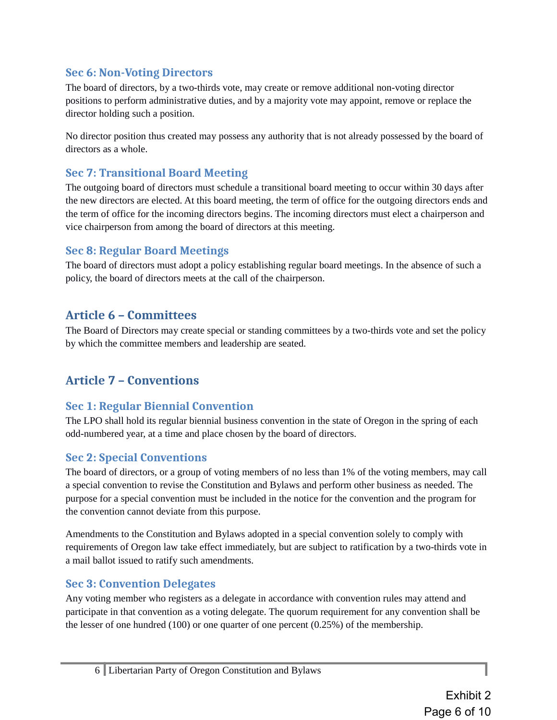## **Sec 6: Non-Voting Directors**

The board of directors, by a two-thirds vote, may create or remove additional non-voting director positions to perform administrative duties, and by a majority vote may appoint, remove or replace the director holding such a position.

No director position thus created may possess any authority that is not already possessed by the board of directors as a whole.

## **Sec 7: Transitional Board Meeting**

The outgoing board of directors must schedule a transitional board meeting to occur within 30 days after the new directors are elected. At this board meeting, the term of office for the outgoing directors ends and the term of office for the incoming directors begins. The incoming directors must elect a chairperson and vice chairperson from among the board of directors at this meeting.

## **Sec 8: Regular Board Meetings**

The board of directors must adopt a policy establishing regular board meetings. In the absence of such a policy, the board of directors meets at the call of the chairperson.

# **Article 6 – Committees**

The Board of Directors may create special or standing committees by a two-thirds vote and set the policy by which the committee members and leadership are seated.

# **Article 7 – Conventions**

## **Sec 1: Regular Biennial Convention**

The LPO shall hold its regular biennial business convention in the state of Oregon in the spring of each odd-numbered year, at a time and place chosen by the board of directors.

## **Sec 2: Special Conventions**

The board of directors, or a group of voting members of no less than 1% of the voting members, may call a special convention to revise the Constitution and Bylaws and perform other business as needed. The purpose for a special convention must be included in the notice for the convention and the program for the convention cannot deviate from this purpose.

Amendments to the Constitution and Bylaws adopted in a special convention solely to comply with requirements of Oregon law take effect immediately, but are subject to ratification by a two-thirds vote in a mail ballot issued to ratify such amendments.

## **Sec 3: Convention Delegates**

Any voting member who registers as a delegate in accordance with convention rules may attend and participate in that convention as a voting delegate. The quorum requirement for any convention shall be the lesser of one hundred (100) or one quarter of one percent (0.25%) of the membership.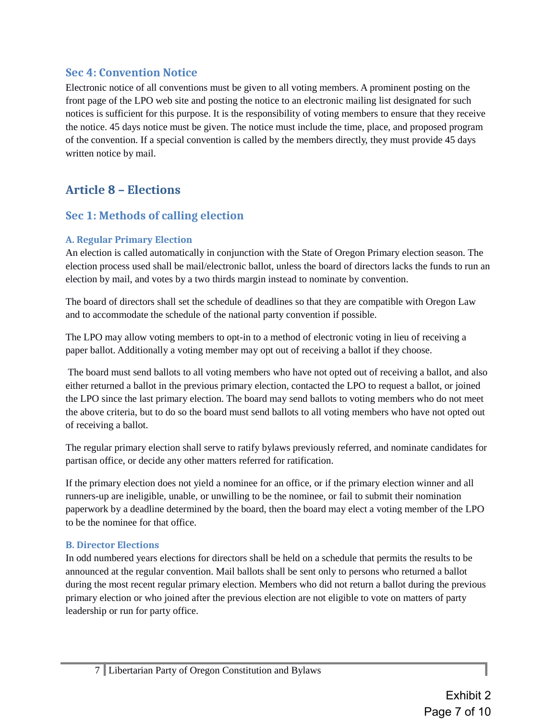#### **Sec 4: Convention Notice**

Electronic notice of all conventions must be given to all voting members. A prominent posting on the front page of the LPO web site and posting the notice to an electronic mailing list designated for such notices is sufficient for this purpose. It is the responsibility of voting members to ensure that they receive the notice. 45 days notice must be given. The notice must include the time, place, and proposed program of the convention. If a special convention is called by the members directly, they must provide 45 days written notice by mail.

# **Article 8 – Elections**

## **Sec 1: Methods of calling election**

#### **A. Regular Primary Election**

An election is called automatically in conjunction with the State of Oregon Primary election season. The election process used shall be mail/electronic ballot, unless the board of directors lacks the funds to run an election by mail, and votes by a two thirds margin instead to nominate by convention.

The board of directors shall set the schedule of deadlines so that they are compatible with Oregon Law and to accommodate the schedule of the national party convention if possible.

The LPO may allow voting members to opt-in to a method of electronic voting in lieu of receiving a paper ballot. Additionally a voting member may opt out of receiving a ballot if they choose.

 The board must send ballots to all voting members who have not opted out of receiving a ballot, and also either returned a ballot in the previous primary election, contacted the LPO to request a ballot, or joined the LPO since the last primary election. The board may send ballots to voting members who do not meet the above criteria, but to do so the board must send ballots to all voting members who have not opted out of receiving a ballot.

The regular primary election shall serve to ratify bylaws previously referred, and nominate candidates for partisan office, or decide any other matters referred for ratification.

If the primary election does not yield a nominee for an office, or if the primary election winner and all runners-up are ineligible, unable, or unwilling to be the nominee, or fail to submit their nomination paperwork by a deadline determined by the board, then the board may elect a voting member of the LPO to be the nominee for that office.

#### **B. Director Elections**

In odd numbered years elections for directors shall be held on a schedule that permits the results to be announced at the regular convention. Mail ballots shall be sent only to persons who returned a ballot during the most recent regular primary election. Members who did not return a ballot during the previous primary election or who joined after the previous election are not eligible to vote on matters of party leadership or run for party office.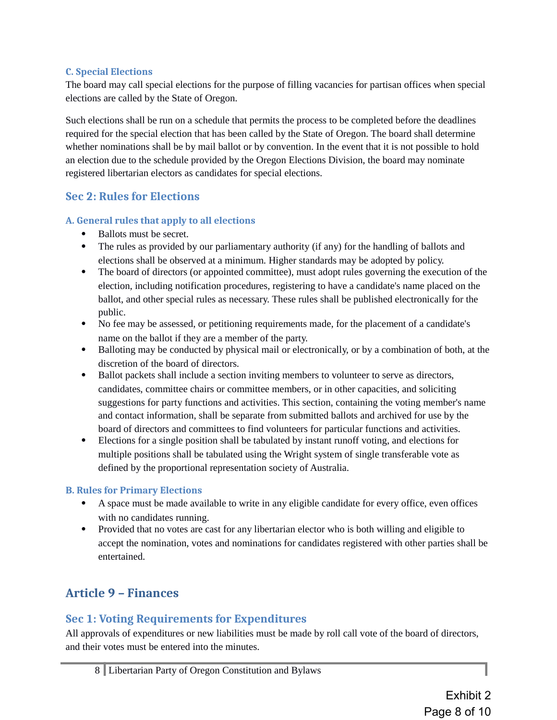#### **C. Special Elections**

The board may call special elections for the purpose of filling vacancies for partisan offices when special elections are called by the State of Oregon.

Such elections shall be run on a schedule that permits the process to be completed before the deadlines required for the special election that has been called by the State of Oregon. The board shall determine whether nominations shall be by mail ballot or by convention. In the event that it is not possible to hold an election due to the schedule provided by the Oregon Elections Division, the board may nominate registered libertarian electors as candidates for special elections.

#### **Sec 2: Rules for Elections**

#### **A. General rules that apply to all elections**

- Ballots must be secret.
- The rules as provided by our parliamentary authority (if any) for the handling of ballots and elections shall be observed at a minimum. Higher standards may be adopted by policy.
- The board of directors (or appointed committee), must adopt rules governing the execution of the election, including notification procedures, registering to have a candidate's name placed on the ballot, and other special rules as necessary. These rules shall be published electronically for the public.
- No fee may be assessed, or petitioning requirements made, for the placement of a candidate's name on the ballot if they are a member of the party.
- Balloting may be conducted by physical mail or electronically, or by a combination of both, at the discretion of the board of directors.
- Ballot packets shall include a section inviting members to volunteer to serve as directors, candidates, committee chairs or committee members, or in other capacities, and soliciting suggestions for party functions and activities. This section, containing the voting member's name and contact information, shall be separate from submitted ballots and archived for use by the board of directors and committees to find volunteers for particular functions and activities.
- Elections for a single position shall be tabulated by instant runoff voting, and elections for multiple positions shall be tabulated using the Wright system of single transferable vote as defined by the proportional representation society of Australia.

#### **B. Rules for Primary Elections**

- A space must be made available to write in any eligible candidate for every office, even offices with no candidates running.
- Provided that no votes are cast for any libertarian elector who is both willing and eligible to accept the nomination, votes and nominations for candidates registered with other parties shall be entertained.

# **Article 9 – Finances**

## **Sec 1: Voting Requirements for Expenditures**

All approvals of expenditures or new liabilities must be made by roll call vote of the board of directors, and their votes must be entered into the minutes.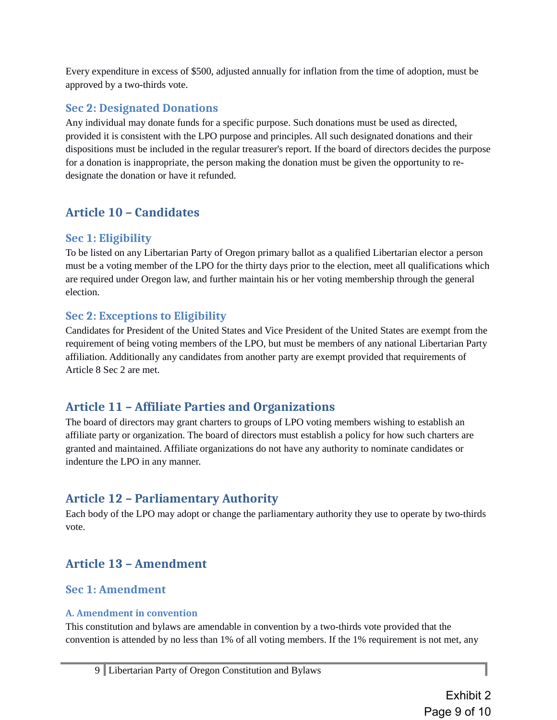Every expenditure in excess of \$500, adjusted annually for inflation from the time of adoption, must be approved by a two-thirds vote.

#### **Sec 2: Designated Donations**

Any individual may donate funds for a specific purpose. Such donations must be used as directed, provided it is consistent with the LPO purpose and principles. All such designated donations and their dispositions must be included in the regular treasurer's report. If the board of directors decides the purpose for a donation is inappropriate, the person making the donation must be given the opportunity to redesignate the donation or have it refunded.

# **Article 10 – Candidates**

#### **Sec 1: Eligibility**

To be listed on any Libertarian Party of Oregon primary ballot as a qualified Libertarian elector a person must be a voting member of the LPO for the thirty days prior to the election, meet all qualifications which are required under Oregon law, and further maintain his or her voting membership through the general election.

## **Sec 2: Exceptions to Eligibility**

Candidates for President of the United States and Vice President of the United States are exempt from the requirement of being voting members of the LPO, but must be members of any national Libertarian Party affiliation. Additionally any candidates from another party are exempt provided that requirements of Article 8 Sec 2 are met.

# **Article 11 – Affiliate Parties and Organizations**

The board of directors may grant charters to groups of LPO voting members wishing to establish an affiliate party or organization. The board of directors must establish a policy for how such charters are granted and maintained. Affiliate organizations do not have any authority to nominate candidates or indenture the LPO in any manner.

# **Article 12 – Parliamentary Authority**

Each body of the LPO may adopt or change the parliamentary authority they use to operate by two-thirds vote.

# **Article 13 – Amendment**

## **Sec 1: Amendment**

#### **A. Amendment in convention**

This constitution and bylaws are amendable in convention by a two-thirds vote provided that the convention is attended by no less than 1% of all voting members. If the 1% requirement is not met, any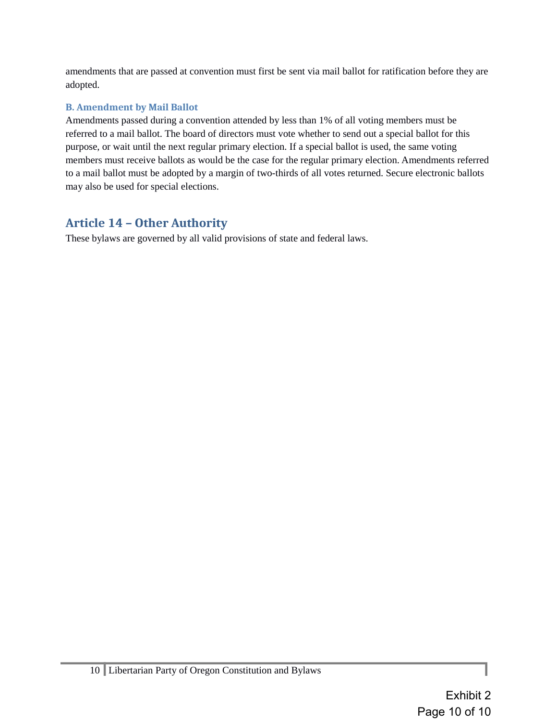amendments that are passed at convention must first be sent via mail ballot for ratification before they are adopted.

#### **B. Amendment by Mail Ballot**

Amendments passed during a convention attended by less than 1% of all voting members must be referred to a mail ballot. The board of directors must vote whether to send out a special ballot for this purpose, or wait until the next regular primary election. If a special ballot is used, the same voting members must receive ballots as would be the case for the regular primary election. Amendments referred to a mail ballot must be adopted by a margin of two-thirds of all votes returned. Secure electronic ballots may also be used for special elections.

# **Article 14 – Other Authority**

These bylaws are governed by all valid provisions of state and federal laws.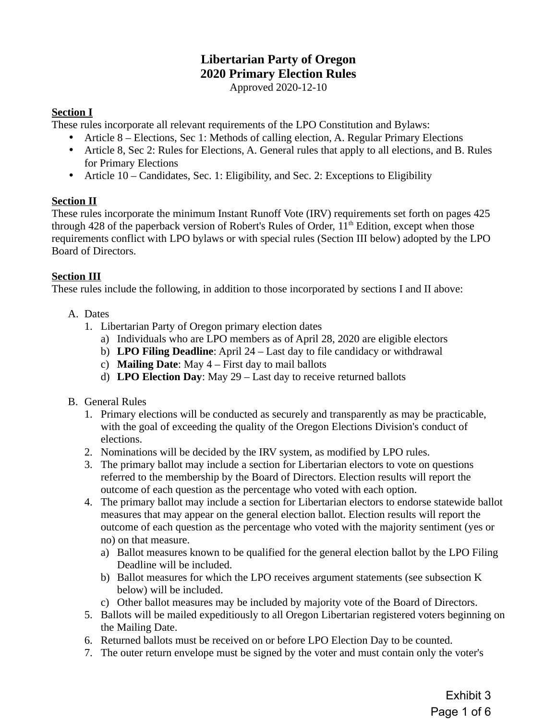# **Libertarian Party of Oregon 2020 Primary Election Rules**

Approved 2020-12-10

#### **Section I**

These rules incorporate all relevant requirements of the LPO Constitution and Bylaws:

- Article 8 Elections, Sec 1: Methods of calling election, A. Regular Primary Elections
- Article 8, Sec 2: Rules for Elections, A. General rules that apply to all elections, and B. Rules for Primary Elections
- Article 10 Candidates, Sec. 1: Eligibility, and Sec. 2: Exceptions to Eligibility

#### **Section II**

These rules incorporate the minimum Instant Runoff Vote (IRV) requirements set forth on pages 425 through 428 of the paperback version of Robert's Rules of Order,  $11<sup>th</sup>$  Edition, except when those requirements conflict with LPO bylaws or with special rules (Section III below) adopted by the LPO Board of Directors.

#### **Section III**

These rules include the following, in addition to those incorporated by sections I and II above:

- A. Dates
	- 1. Libertarian Party of Oregon primary election dates
		- a) Individuals who are LPO members as of April 28, 2020 are eligible electors
		- b) **LPO Filing Deadline**: April 24 Last day to file candidacy or withdrawal
		- c) **Mailing Date**: May 4 First day to mail ballots
		- d) **LPO Election Day**: May 29 Last day to receive returned ballots
- B. General Rules
	- 1. Primary elections will be conducted as securely and transparently as may be practicable, with the goal of exceeding the quality of the Oregon Elections Division's conduct of elections.
	- 2. Nominations will be decided by the IRV system, as modified by LPO rules.
	- 3. The primary ballot may include a section for Libertarian electors to vote on questions referred to the membership by the Board of Directors. Election results will report the outcome of each question as the percentage who voted with each option.
	- 4. The primary ballot may include a section for Libertarian electors to endorse statewide ballot measures that may appear on the general election ballot. Election results will report the outcome of each question as the percentage who voted with the majority sentiment (yes or no) on that measure.
		- a) Ballot measures known to be qualified for the general election ballot by the LPO Filing Deadline will be included.
		- b) Ballot measures for which the LPO receives argument statements (see subsection K below) will be included.
		- c) Other ballot measures may be included by majority vote of the Board of Directors.
	- 5. Ballots will be mailed expeditiously to all Oregon Libertarian registered voters beginning on the Mailing Date.
	- 6. Returned ballots must be received on or before LPO Election Day to be counted.
	- 7. The outer return envelope must be signed by the voter and must contain only the voter's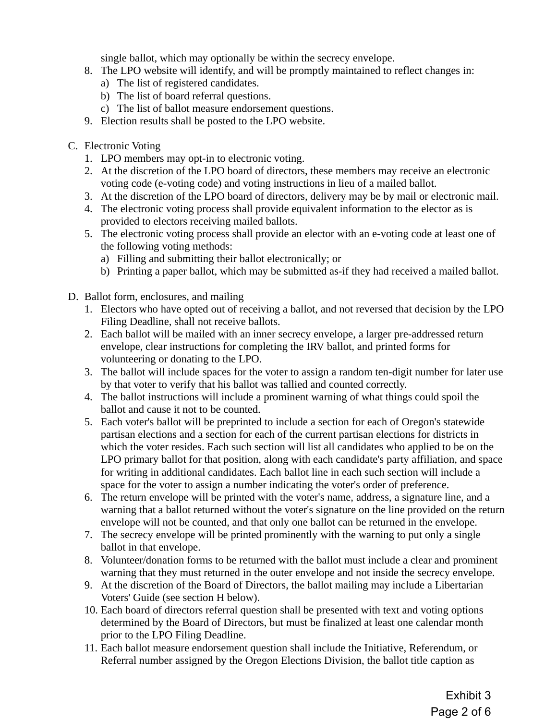single ballot, which may optionally be within the secrecy envelope.

- 8. The LPO website will identify, and will be promptly maintained to reflect changes in:
	- a) The list of registered candidates.
	- b) The list of board referral questions.
	- c) The list of ballot measure endorsement questions.
- 9. Election results shall be posted to the LPO website.
- C. Electronic Voting
	- 1. LPO members may opt-in to electronic voting.
	- 2. At the discretion of the LPO board of directors, these members may receive an electronic voting code (e-voting code) and voting instructions in lieu of a mailed ballot.
	- 3. At the discretion of the LPO board of directors, delivery may be by mail or electronic mail.
	- 4. The electronic voting process shall provide equivalent information to the elector as is provided to electors receiving mailed ballots.
	- 5. The electronic voting process shall provide an elector with an e-voting code at least one of the following voting methods:
		- a) Filling and submitting their ballot electronically; or
		- b) Printing a paper ballot, which may be submitted as-if they had received a mailed ballot.
- D. Ballot form, enclosures, and mailing
	- 1. Electors who have opted out of receiving a ballot, and not reversed that decision by the LPO Filing Deadline, shall not receive ballots.
	- 2. Each ballot will be mailed with an inner secrecy envelope, a larger pre-addressed return envelope, clear instructions for completing the IRV ballot, and printed forms for volunteering or donating to the LPO.
	- 3. The ballot will include spaces for the voter to assign a random ten-digit number for later use by that voter to verify that his ballot was tallied and counted correctly.
	- 4. The ballot instructions will include a prominent warning of what things could spoil the ballot and cause it not to be counted.
	- 5. Each voter's ballot will be preprinted to include a section for each of Oregon's statewide partisan elections and a section for each of the current partisan elections for districts in which the voter resides. Each such section will list all candidates who applied to be on the LPO primary ballot for that position, along with each candidate's party affiliation, and space for writing in additional candidates. Each ballot line in each such section will include a space for the voter to assign a number indicating the voter's order of preference.
	- 6. The return envelope will be printed with the voter's name, address, a signature line, and a warning that a ballot returned without the voter's signature on the line provided on the return envelope will not be counted, and that only one ballot can be returned in the envelope.
	- 7. The secrecy envelope will be printed prominently with the warning to put only a single ballot in that envelope.
	- 8. Volunteer/donation forms to be returned with the ballot must include a clear and prominent warning that they must returned in the outer envelope and not inside the secrecy envelope.
	- 9. At the discretion of the Board of Directors, the ballot mailing may include a Libertarian Voters' Guide (see section H below).
	- 10. Each board of directors referral question shall be presented with text and voting options determined by the Board of Directors, but must be finalized at least one calendar month prior to the LPO Filing Deadline.
	- 11. Each ballot measure endorsement question shall include the Initiative, Referendum, or Referral number assigned by the Oregon Elections Division, the ballot title caption as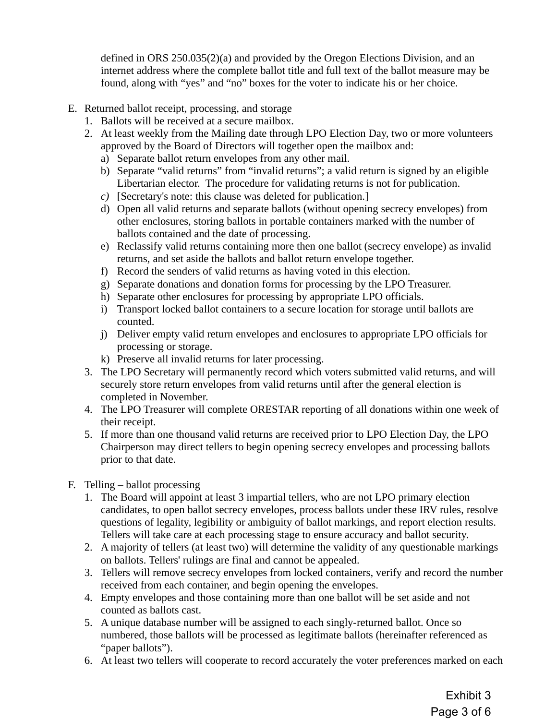defined in ORS 250.035(2)(a) and provided by the Oregon Elections Division, and an internet address where the complete ballot title and full text of the ballot measure may be found, along with "yes" and "no" boxes for the voter to indicate his or her choice.

- E. Returned ballot receipt, processing, and storage
	- 1. Ballots will be received at a secure mailbox.
	- 2. At least weekly from the Mailing date through LPO Election Day, two or more volunteers approved by the Board of Directors will together open the mailbox and:
		- a) Separate ballot return envelopes from any other mail.
		- b) Separate "valid returns" from "invalid returns"; a valid return is signed by an eligible Libertarian elector. The procedure for validating returns is not for publication.
		- *c)* [Secretary's note: this clause was deleted for publication.]
		- d) Open all valid returns and separate ballots (without opening secrecy envelopes) from other enclosures, storing ballots in portable containers marked with the number of ballots contained and the date of processing.
		- e) Reclassify valid returns containing more then one ballot (secrecy envelope) as invalid returns, and set aside the ballots and ballot return envelope together.
		- f) Record the senders of valid returns as having voted in this election.
		- g) Separate donations and donation forms for processing by the LPO Treasurer.
		- h) Separate other enclosures for processing by appropriate LPO officials.
		- i) Transport locked ballot containers to a secure location for storage until ballots are counted.
		- j) Deliver empty valid return envelopes and enclosures to appropriate LPO officials for processing or storage.
		- k) Preserve all invalid returns for later processing.
	- 3. The LPO Secretary will permanently record which voters submitted valid returns, and will securely store return envelopes from valid returns until after the general election is completed in November.
	- 4. The LPO Treasurer will complete ORESTAR reporting of all donations within one week of their receipt.
	- 5. If more than one thousand valid returns are received prior to LPO Election Day, the LPO Chairperson may direct tellers to begin opening secrecy envelopes and processing ballots prior to that date.
- F. Telling ballot processing
	- 1. The Board will appoint at least 3 impartial tellers, who are not LPO primary election candidates, to open ballot secrecy envelopes, process ballots under these IRV rules, resolve questions of legality, legibility or ambiguity of ballot markings, and report election results. Tellers will take care at each processing stage to ensure accuracy and ballot security.
	- 2. A majority of tellers (at least two) will determine the validity of any questionable markings on ballots. Tellers' rulings are final and cannot be appealed.
	- 3. Tellers will remove secrecy envelopes from locked containers, verify and record the number received from each container, and begin opening the envelopes.
	- 4. Empty envelopes and those containing more than one ballot will be set aside and not counted as ballots cast.
	- 5. A unique database number will be assigned to each singly-returned ballot. Once so numbered, those ballots will be processed as legitimate ballots (hereinafter referenced as "paper ballots").
	- 6. At least two tellers will cooperate to record accurately the voter preferences marked on each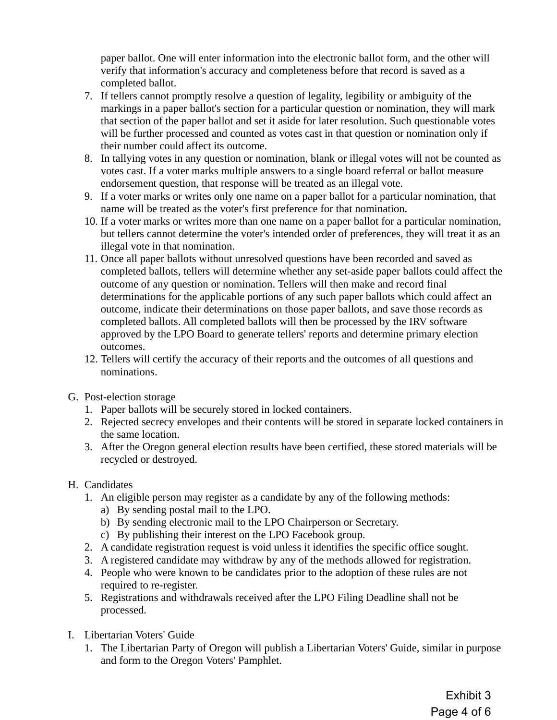paper ballot. One will enter information into the electronic ballot form, and the other will verify that information's accuracy and completeness before that record is saved as a completed ballot.

- 7. If tellers cannot promptly resolve a question of legality, legibility or ambiguity of the markings in a paper ballot's section for a particular question or nomination, they will mark that section of the paper ballot and set it aside for later resolution. Such questionable votes will be further processed and counted as votes cast in that question or nomination only if their number could affect its outcome.
- 8. In tallying votes in any question or nomination, blank or illegal votes will not be counted as votes cast. If a voter marks multiple answers to a single board referral or ballot measure endorsement question, that response will be treated as an illegal vote.
- 9. If a voter marks or writes only one name on a paper ballot for a particular nomination, that name will be treated as the voter's first preference for that nomination.
- 10. If a voter marks or writes more than one name on a paper ballot for a particular nomination, but tellers cannot determine the voter's intended order of preferences, they will treat it as an illegal vote in that nomination.
- 11. Once all paper ballots without unresolved questions have been recorded and saved as completed ballots, tellers will determine whether any set-aside paper ballots could affect the outcome of any question or nomination. Tellers will then make and record final determinations for the applicable portions of any such paper ballots which could affect an outcome, indicate their determinations on those paper ballots, and save those records as completed ballots. All completed ballots will then be processed by the IRV software approved by the LPO Board to generate tellers' reports and determine primary election outcomes.
- 12. Tellers will certify the accuracy of their reports and the outcomes of all questions and nominations.
- G. Post-election storage
	- 1. Paper ballots will be securely stored in locked containers.
	- 2. Rejected secrecy envelopes and their contents will be stored in separate locked containers in the same location.
	- 3. After the Oregon general election results have been certified, these stored materials will be recycled or destroyed.
- H. Candidates
	- 1. An eligible person may register as a candidate by any of the following methods:
		- a) By sending postal mail to the LPO.
		- b) By sending electronic mail to the LPO Chairperson or Secretary.
		- c) By publishing their interest on the LPO Facebook group.
	- 2. A candidate registration request is void unless it identifies the specific office sought.
	- 3. A registered candidate may withdraw by any of the methods allowed for registration.
	- 4. People who were known to be candidates prior to the adoption of these rules are not required to re-register.
	- 5. Registrations and withdrawals received after the LPO Filing Deadline shall not be processed.
- I. Libertarian Voters' Guide
	- 1. The Libertarian Party of Oregon will publish a Libertarian Voters' Guide, similar in purpose and form to the Oregon Voters' Pamphlet.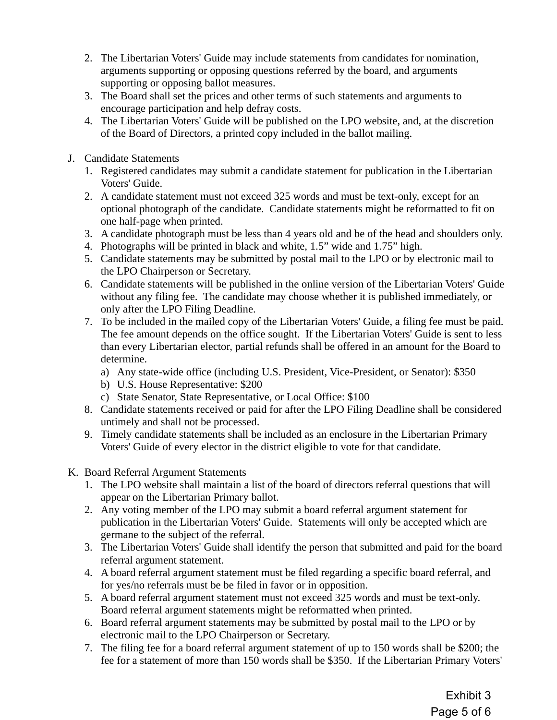- 2. The Libertarian Voters' Guide may include statements from candidates for nomination, arguments supporting or opposing questions referred by the board, and arguments supporting or opposing ballot measures.
- 3. The Board shall set the prices and other terms of such statements and arguments to encourage participation and help defray costs.
- 4. The Libertarian Voters' Guide will be published on the LPO website, and, at the discretion of the Board of Directors, a printed copy included in the ballot mailing.
- J. Candidate Statements
	- 1. Registered candidates may submit a candidate statement for publication in the Libertarian Voters' Guide.
	- 2. A candidate statement must not exceed 325 words and must be text-only, except for an optional photograph of the candidate. Candidate statements might be reformatted to fit on one half-page when printed.
	- 3. A candidate photograph must be less than 4 years old and be of the head and shoulders only.
	- 4. Photographs will be printed in black and white, 1.5" wide and 1.75" high.
	- 5. Candidate statements may be submitted by postal mail to the LPO or by electronic mail to the LPO Chairperson or Secretary.
	- 6. Candidate statements will be published in the online version of the Libertarian Voters' Guide without any filing fee. The candidate may choose whether it is published immediately, or only after the LPO Filing Deadline.
	- 7. To be included in the mailed copy of the Libertarian Voters' Guide, a filing fee must be paid. The fee amount depends on the office sought. If the Libertarian Voters' Guide is sent to less than every Libertarian elector, partial refunds shall be offered in an amount for the Board to determine.
		- a) Any state-wide office (including U.S. President, Vice-President, or Senator): \$350
		- b) U.S. House Representative: \$200
		- c) State Senator, State Representative, or Local Office: \$100
	- 8. Candidate statements received or paid for after the LPO Filing Deadline shall be considered untimely and shall not be processed.
	- 9. Timely candidate statements shall be included as an enclosure in the Libertarian Primary Voters' Guide of every elector in the district eligible to vote for that candidate.
- K. Board Referral Argument Statements
	- 1. The LPO website shall maintain a list of the board of directors referral questions that will appear on the Libertarian Primary ballot.
	- 2. Any voting member of the LPO may submit a board referral argument statement for publication in the Libertarian Voters' Guide. Statements will only be accepted which are germane to the subject of the referral.
	- 3. The Libertarian Voters' Guide shall identify the person that submitted and paid for the board referral argument statement.
	- 4. A board referral argument statement must be filed regarding a specific board referral, and for yes/no referrals must be be filed in favor or in opposition.
	- 5. A board referral argument statement must not exceed 325 words and must be text-only. Board referral argument statements might be reformatted when printed.
	- 6. Board referral argument statements may be submitted by postal mail to the LPO or by electronic mail to the LPO Chairperson or Secretary.
	- 7. The filing fee for a board referral argument statement of up to 150 words shall be \$200; the fee for a statement of more than 150 words shall be \$350. If the Libertarian Primary Voters'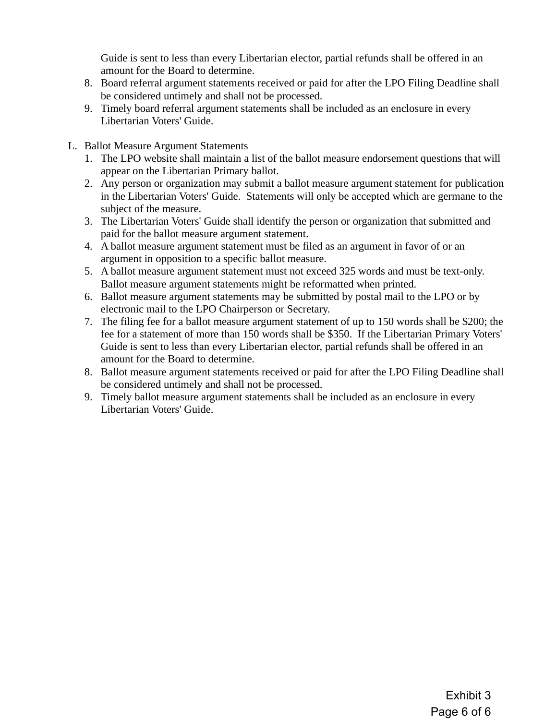Guide is sent to less than every Libertarian elector, partial refunds shall be offered in an amount for the Board to determine.

- 8. Board referral argument statements received or paid for after the LPO Filing Deadline shall be considered untimely and shall not be processed.
- 9. Timely board referral argument statements shall be included as an enclosure in every Libertarian Voters' Guide.
- L. Ballot Measure Argument Statements
	- 1. The LPO website shall maintain a list of the ballot measure endorsement questions that will appear on the Libertarian Primary ballot.
	- 2. Any person or organization may submit a ballot measure argument statement for publication in the Libertarian Voters' Guide. Statements will only be accepted which are germane to the subject of the measure.
	- 3. The Libertarian Voters' Guide shall identify the person or organization that submitted and paid for the ballot measure argument statement.
	- 4. A ballot measure argument statement must be filed as an argument in favor of or an argument in opposition to a specific ballot measure.
	- 5. A ballot measure argument statement must not exceed 325 words and must be text-only. Ballot measure argument statements might be reformatted when printed.
	- 6. Ballot measure argument statements may be submitted by postal mail to the LPO or by electronic mail to the LPO Chairperson or Secretary.
	- 7. The filing fee for a ballot measure argument statement of up to 150 words shall be \$200; the fee for a statement of more than 150 words shall be \$350. If the Libertarian Primary Voters' Guide is sent to less than every Libertarian elector, partial refunds shall be offered in an amount for the Board to determine.
	- 8. Ballot measure argument statements received or paid for after the LPO Filing Deadline shall be considered untimely and shall not be processed.
	- 9. Timely ballot measure argument statements shall be included as an enclosure in every Libertarian Voters' Guide.